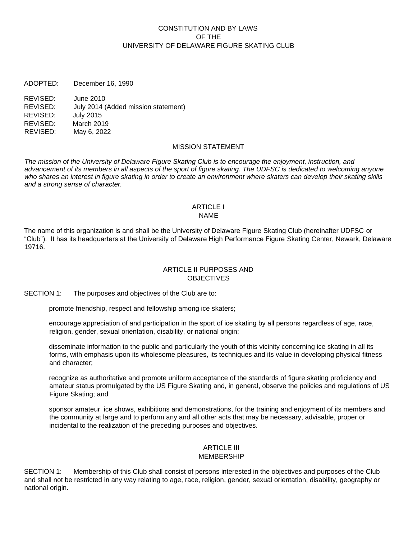## CONSTITUTION AND BY LAWS OF THE UNIVERSITY OF DELAWARE FIGURE SKATING CLUB

ADOPTED: December 16, 1990

REVISED: June 2010 REVISED: July 2014 (Added mission statement) REVISED: July 2015 REVISED: March 2019 REVISED: May 6, 2022

#### MISSION STATEMENT

*The mission of the University of Delaware Figure Skating Club is to encourage the enjoyment, instruction, and*  advancement of its members in all aspects of the sport of figure skating. The UDFSC is dedicated to welcoming anyone *who shares an interest in figure skating in order to create an environment where skaters can develop their skating skills and a strong sense of character.* 

#### ARTICLE I NAME

The name of this organization is and shall be the University of Delaware Figure Skating Club (hereinafter UDFSC or "Club"). It has its headquarters at the University of Delaware High Performance Figure Skating Center, Newark, Delaware 19716.

### ARTICLE II PURPOSES AND **OBJECTIVES**

SECTION 1: The purposes and objectives of the Club are to:

promote friendship, respect and fellowship among ice skaters;

encourage appreciation of and participation in the sport of ice skating by all persons regardless of age, race, religion, gender, sexual orientation, disability, or national origin;

disseminate information to the public and particularly the youth of this vicinity concerning ice skating in all its forms, with emphasis upon its wholesome pleasures, its techniques and its value in developing physical fitness and character;

recognize as authoritative and promote uniform acceptance of the standards of figure skating proficiency and amateur status promulgated by the US Figure Skating and, in general, observe the policies and regulations of US Figure Skating; and

sponsor amateur ice shows, exhibitions and demonstrations, for the training and enjoyment of its members and the community at large and to perform any and all other acts that may be necessary, advisable, proper or incidental to the realization of the preceding purposes and objectives.

#### ARTICLE III MEMBERSHIP

SECTION 1: Membership of this Club shall consist of persons interested in the objectives and purposes of the Club and shall not be restricted in any way relating to age, race, religion, gender, sexual orientation, disability, geography or national origin.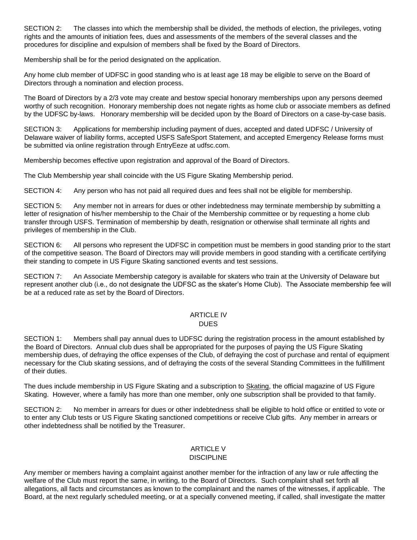SECTION 2: The classes into which the membership shall be divided, the methods of election, the privileges, voting rights and the amounts of initiation fees, dues and assessments of the members of the several classes and the procedures for discipline and expulsion of members shall be fixed by the Board of Directors.

Membership shall be for the period designated on the application.

Any home club member of UDFSC in good standing who is at least age 18 may be eligible to serve on the Board of Directors through a nomination and election process.

The Board of Directors by a 2/3 vote may create and bestow special honorary memberships upon any persons deemed worthy of such recognition. Honorary membership does not negate rights as home club or associate members as defined by the UDFSC by-laws. Honorary membership will be decided upon by the Board of Directors on a case-by-case basis.

SECTION 3: Applications for membership including payment of dues, accepted and dated UDFSC / University of Delaware waiver of liability forms, accepted USFS SafeSport Statement, and accepted Emergency Release forms must be submitted via online registration through EntryEeze at udfsc.com.

Membership becomes effective upon registration and approval of the Board of Directors.

The Club Membership year shall coincide with the US Figure Skating Membership period.

SECTION 4: Any person who has not paid all required dues and fees shall not be eligible for membership.

SECTION 5: Any member not in arrears for dues or other indebtedness may terminate membership by submitting a letter of resignation of his/her membership to the Chair of the Membership committee or by requesting a home club transfer through USFS. Termination of membership by death, resignation or otherwise shall terminate all rights and privileges of membership in the Club.

SECTION 6: All persons who represent the UDFSC in competition must be members in good standing prior to the start of the competitive season. The Board of Directors may will provide members in good standing with a certificate certifying their standing to compete in US Figure Skating sanctioned events and test sessions.

SECTION 7: An Associate Membership category is available for skaters who train at the University of Delaware but represent another club (i.e., do not designate the UDFSC as the skater's Home Club). The Associate membership fee will be at a reduced rate as set by the Board of Directors.

#### ARTICLE IV **DUES**

SECTION 1: Members shall pay annual dues to UDFSC during the registration process in the amount established by the Board of Directors. Annual club dues shall be appropriated for the purposes of paying the US Figure Skating membership dues, of defraying the office expenses of the Club, of defraying the cost of purchase and rental of equipment necessary for the Club skating sessions, and of defraying the costs of the several Standing Committees in the fulfillment of their duties.

The dues include membership in US Figure Skating and a subscription to Skating, the official magazine of US Figure Skating. However, where a family has more than one member, only one subscription shall be provided to that family.

SECTION 2: No member in arrears for dues or other indebtedness shall be eligible to hold office or entitled to vote or to enter any Club tests or US Figure Skating sanctioned competitions or receive Club gifts. Any member in arrears or other indebtedness shall be notified by the Treasurer.

# ARTICLE V

# DISCIPLINE

Any member or members having a complaint against another member for the infraction of any law or rule affecting the welfare of the Club must report the same, in writing, to the Board of Directors. Such complaint shall set forth all allegations, all facts and circumstances as known to the complainant and the names of the witnesses, if applicable. The Board, at the next regularly scheduled meeting, or at a specially convened meeting, if called, shall investigate the matter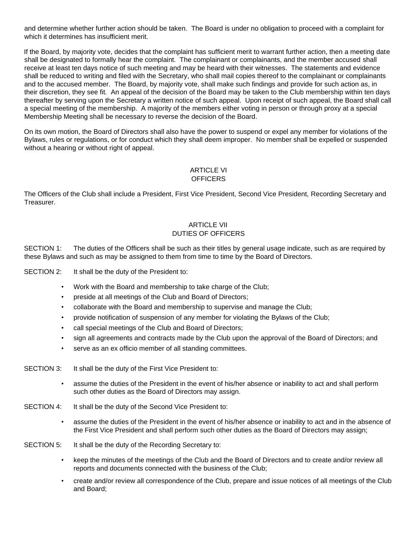and determine whether further action should be taken. The Board is under no obligation to proceed with a complaint for which it determines has insufficient merit.

If the Board, by majority vote, decides that the complaint has sufficient merit to warrant further action, then a meeting date shall be designated to formally hear the complaint. The complainant or complainants, and the member accused shall receive at least ten days notice of such meeting and may be heard with their witnesses. The statements and evidence shall be reduced to writing and filed with the Secretary, who shall mail copies thereof to the complainant or complainants and to the accused member. The Board, by majority vote, shall make such findings and provide for such action as, in their discretion, they see fit. An appeal of the decision of the Board may be taken to the Club membership within ten days thereafter by serving upon the Secretary a written notice of such appeal. Upon receipt of such appeal, the Board shall call a special meeting of the membership. A majority of the members either voting in person or through proxy at a special Membership Meeting shall be necessary to reverse the decision of the Board.

On its own motion, the Board of Directors shall also have the power to suspend or expel any member for violations of the Bylaws, rules or regulations, or for conduct which they shall deem improper. No member shall be expelled or suspended without a hearing or without right of appeal.

## ARTICLE VI **OFFICERS**

The Officers of the Club shall include a President, First Vice President, Second Vice President*,* Recording Secretary and Treasurer.

## ARTICLE VII DUTIES OF OFFICERS

SECTION 1: The duties of the Officers shall be such as their titles by general usage indicate, such as are required by these Bylaws and such as may be assigned to them from time to time by the Board of Directors.

SECTION 2: It shall be the duty of the President to:

- Work with the Board and membership to take charge of the Club;
- preside at all meetings of the Club and Board of Directors;
- collaborate with the Board and membership to supervise and manage the Club;
- provide notification of suspension of any member for violating the Bylaws of the Club;
- call special meetings of the Club and Board of Directors;
- sign all agreements and contracts made by the Club upon the approval of the Board of Directors; and
- serve as an ex officio member of all standing committees.
- SECTION 3: It shall be the duty of the First Vice President to:
	- assume the duties of the President in the event of his/her absence or inability to act and shall perform such other duties as the Board of Directors may assign.
- SECTION 4: It shall be the duty of the Second Vice President to:
	- assume the duties of the President in the event of his/her absence or inability to act and in the absence of the First Vice President and shall perform such other duties as the Board of Directors may assign;
- SECTION 5: It shall be the duty of the Recording Secretary to:
	- keep the minutes of the meetings of the Club and the Board of Directors and to create and/or review all reports and documents connected with the business of the Club;
	- create and/or review all correspondence of the Club, prepare and issue notices of all meetings of the Club and Board;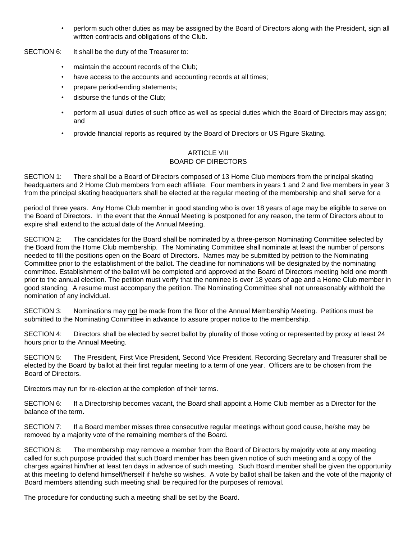• perform such other duties as may be assigned by the Board of Directors along with the President, sign all written contracts and obligations of the Club.

SECTION 6: It shall be the duty of the Treasurer to:

- maintain the account records of the Club;
- have access to the accounts and accounting records at all times;
- prepare period-ending statements;
- disburse the funds of the Club;
- perform all usual duties of such office as well as special duties which the Board of Directors may assign; and
- provide financial reports as required by the Board of Directors or US Figure Skating.

## ARTICLE VIII BOARD OF DIRECTORS

SECTION 1: There shall be a Board of Directors composed of 13 Home Club members from the principal skating headquarters and 2 Home Club members from each affiliate. Four members in years 1 and 2 and five members in year 3 from the principal skating headquarters shall be elected at the regular meeting of the membership and shall serve for a

period of three years. Any Home Club member in good standing who is over 18 years of age may be eligible to serve on the Board of Directors. In the event that the Annual Meeting is postponed for any reason, the term of Directors about to expire shall extend to the actual date of the Annual Meeting.

SECTION 2: The candidates for the Board shall be nominated by a three-person Nominating Committee selected by the Board from the Home Club membership. The Nominating Committee shall nominate at least the number of persons needed to fill the positions open on the Board of Directors. Names may be submitted by petition to the Nominating Committee prior to the establishment of the ballot. The deadline for nominations will be designated by the nominating committee. Establishment of the ballot will be completed and approved at the Board of Directors meeting held one month prior to the annual election. The petition must verify that the nominee is over 18 years of age and a Home Club member in good standing. A resume must accompany the petition. The Nominating Committee shall not unreasonably withhold the nomination of any individual.

SECTION 3: Nominations may not be made from the floor of the Annual Membership Meeting. Petitions must be submitted to the Nominating Committee in advance to assure proper notice to the membership.

SECTION 4: Directors shall be elected by secret ballot by plurality of those voting or represented by proxy at least 24 hours prior to the Annual Meeting.

SECTION 5: The President, First Vice President, Second Vice President, Recording Secretary and Treasurer shall be elected by the Board by ballot at their first regular meeting to a term of one year. Officers are to be chosen from the Board of Directors.

Directors may run for re-election at the completion of their terms.

SECTION 6: If a Directorship becomes vacant, the Board shall appoint a Home Club member as a Director for the balance of the term.

SECTION 7: If a Board member misses three consecutive regular meetings without good cause, he/she may be removed by a majority vote of the remaining members of the Board.

SECTION 8: The membership may remove a member from the Board of Directors by majority vote at any meeting called for such purpose provided that such Board member has been given notice of such meeting and a copy of the charges against him/her at least ten days in advance of such meeting. Such Board member shall be given the opportunity at this meeting to defend himself/herself if he/she so wishes. A vote by ballot shall be taken and the vote of the majority of Board members attending such meeting shall be required for the purposes of removal.

The procedure for conducting such a meeting shall be set by the Board.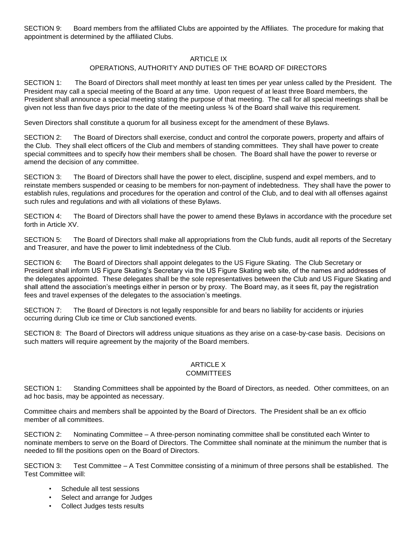SECTION 9: Board members from the affiliated Clubs are appointed by the Affiliates. The procedure for making that appointment is determined by the affiliated Clubs.

### ARTICLE IX

## OPERATIONS, AUTHORITY AND DUTIES OF THE BOARD OF DIRECTORS

SECTION 1: The Board of Directors shall meet monthly at least ten times per year unless called by the President. The President may call a special meeting of the Board at any time. Upon request of at least three Board members, the President shall announce a special meeting stating the purpose of that meeting. The call for all special meetings shall be given not less than five days prior to the date of the meeting unless ¾ of the Board shall waive this requirement.

Seven Directors shall constitute a quorum for all business except for the amendment of these Bylaws.

SECTION 2: The Board of Directors shall exercise, conduct and control the corporate powers, property and affairs of the Club. They shall elect officers of the Club and members of standing committees. They shall have power to create special committees and to specify how their members shall be chosen. The Board shall have the power to reverse or amend the decision of any committee.

SECTION 3: The Board of Directors shall have the power to elect, discipline, suspend and expel members, and to reinstate members suspended or ceasing to be members for non-payment of indebtedness. They shall have the power to establish rules, regulations and procedures for the operation and control of the Club, and to deal with all offenses against such rules and regulations and with all violations of these Bylaws.

SECTION 4: The Board of Directors shall have the power to amend these Bylaws in accordance with the procedure set forth in Article XV.

SECTION 5: The Board of Directors shall make all appropriations from the Club funds, audit all reports of the Secretary and Treasurer, and have the power to limit indebtedness of the Club.

SECTION 6: The Board of Directors shall appoint delegates to the US Figure Skating. The Club Secretary or President shall inform US Figure Skating's Secretary via the US Figure Skating web site, of the names and addresses of the delegates appointed. These delegates shall be the sole representatives between the Club and US Figure Skating and shall attend the association's meetings either in person or by proxy. The Board may, as it sees fit, pay the registration fees and travel expenses of the delegates to the association's meetings.

SECTION 7: The Board of Directors is not legally responsible for and bears no liability for accidents or injuries occurring during Club ice time or Club sanctioned events.

SECTION 8: The Board of Directors will address unique situations as they arise on a case-by-case basis. Decisions on such matters will require agreement by the majority of the Board members.

#### ARTICLE X **COMMITTEES**

SECTION 1: Standing Committees shall be appointed by the Board of Directors, as needed. Other committees, on an ad hoc basis, may be appointed as necessary.

Committee chairs and members shall be appointed by the Board of Directors. The President shall be an ex officio member of all committees.

SECTION 2: Nominating Committee – A three-person nominating committee shall be constituted each Winter to nominate members to serve on the Board of Directors. The Committee shall nominate at the minimum the number that is needed to fill the positions open on the Board of Directors.

SECTION 3: Test Committee – A Test Committee consisting of a minimum of three persons shall be established. The Test Committee will:

- Schedule all test sessions
- Select and arrange for Judges
- Collect Judges tests results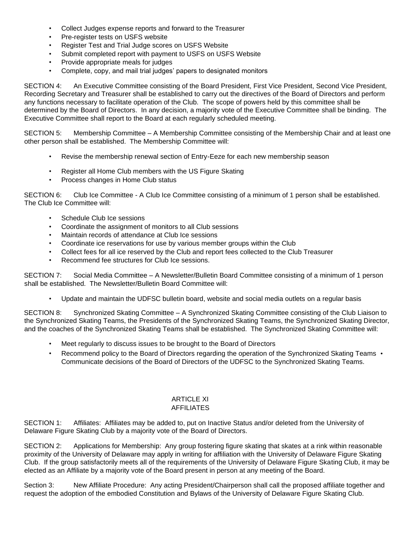- Collect Judges expense reports and forward to the Treasurer
- Pre-register tests on USFS website
- Register Test and Trial Judge scores on USFS Website
- Submit completed report with payment to USFS on USFS Website
- Provide appropriate meals for judges
- Complete, copy, and mail trial judges' papers to designated monitors

SECTION 4: An Executive Committee consisting of the Board President, First Vice President, Second Vice President, Recording Secretary and Treasurer shall be established to carry out the directives of the Board of Directors and perform any functions necessary to facilitate operation of the Club. The scope of powers held by this committee shall be determined by the Board of Directors. In any decision, a majority vote of the Executive Committee shall be binding. The Executive Committee shall report to the Board at each regularly scheduled meeting.

SECTION 5: Membership Committee – A Membership Committee consisting of the Membership Chair and at least one other person shall be established. The Membership Committee will:

- Revise the membership renewal section of Entry-Eeze for each new membership season
- Register all Home Club members with the US Figure Skating
- Process changes in Home Club status

SECTION 6: Club Ice Committee - A Club Ice Committee consisting of a minimum of 1 person shall be established. The Club Ice Committee will:

- Schedule Club Ice sessions
- Coordinate the assignment of monitors to all Club sessions
- Maintain records of attendance at Club Ice sessions
- Coordinate ice reservations for use by various member groups within the Club
- Collect fees for all ice reserved by the Club and report fees collected to the Club Treasurer
- Recommend fee structures for Club Ice sessions.

SECTION 7: Social Media Committee – A Newsletter/Bulletin Board Committee consisting of a minimum of 1 person shall be established. The Newsletter/Bulletin Board Committee will:

• Update and maintain the UDFSC bulletin board, website and social media outlets on a regular basis

SECTION 8: Synchronized Skating Committee – A Synchronized Skating Committee consisting of the Club Liaison to the Synchronized Skating Teams, the Presidents of the Synchronized Skating Teams, the Synchronized Skating Director, and the coaches of the Synchronized Skating Teams shall be established. The Synchronized Skating Committee will:

- Meet regularly to discuss issues to be brought to the Board of Directors
- Recommend policy to the Board of Directors regarding the operation of the Synchronized Skating Teams Communicate decisions of the Board of Directors of the UDFSC to the Synchronized Skating Teams.

# ARTICLE XI

## AFFILIATES

SECTION 1: Affiliates: Affiliates may be added to, put on Inactive Status and/or deleted from the University of Delaware Figure Skating Club by a majority vote of the Board of Directors.

SECTION 2: Applications for Membership: Any group fostering figure skating that skates at a rink within reasonable proximity of the University of Delaware may apply in writing for affiliation with the University of Delaware Figure Skating Club. If the group satisfactorily meets all of the requirements of the University of Delaware Figure Skating Club, it may be elected as an Affiliate by a majority vote of the Board present in person at any meeting of the Board.

Section 3: New Affiliate Procedure: Any acting President/Chairperson shall call the proposed affiliate together and request the adoption of the embodied Constitution and Bylaws of the University of Delaware Figure Skating Club.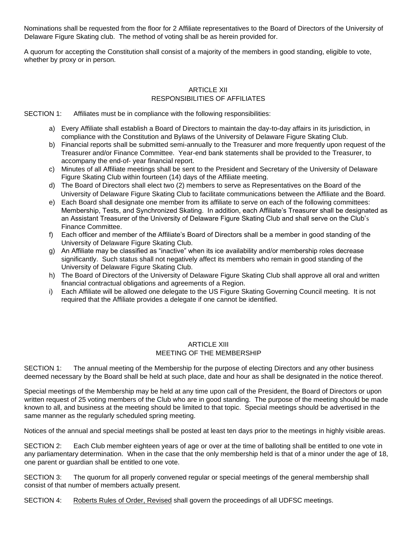Nominations shall be requested from the floor for 2 Affiliate representatives to the Board of Directors of the University of Delaware Figure Skating club. The method of voting shall be as herein provided for.

A quorum for accepting the Constitution shall consist of a majority of the members in good standing, eligible to vote, whether by proxy or in person.

# ARTICLE XII RESPONSIBILITIES OF AFFILIATES

SECTION 1: Affiliates must be in compliance with the following responsibilities:

- a) Every Affiliate shall establish a Board of Directors to maintain the day-to-day affairs in its jurisdiction, in compliance with the Constitution and Bylaws of the University of Delaware Figure Skating Club.
- b) Financial reports shall be submitted semi-annually to the Treasurer and more frequently upon request of the Treasurer and/or Finance Committee. Year-end bank statements shall be provided to the Treasurer, to accompany the end-of- year financial report.
- c) Minutes of all Affiliate meetings shall be sent to the President and Secretary of the University of Delaware Figure Skating Club within fourteen (14) days of the Affiliate meeting.
- d) The Board of Directors shall elect two (2) members to serve as Representatives on the Board of the University of Delaware Figure Skating Club to facilitate communications between the Affiliate and the Board.
- e) Each Board shall designate one member from its affiliate to serve on each of the following committees: Membership, Tests, and Synchronized Skating. In addition, each Affiliate's Treasurer shall be designated as an Assistant Treasurer of the University of Delaware Figure Skating Club and shall serve on the Club's Finance Committee.
- f) Each officer and member of the Affiliate's Board of Directors shall be a member in good standing of the University of Delaware Figure Skating Club.
- g) An Affiliate may be classified as "inactive" when its ice availability and/or membership roles decrease significantly. Such status shall not negatively affect its members who remain in good standing of the University of Delaware Figure Skating Club.
- h) The Board of Directors of the University of Delaware Figure Skating Club shall approve all oral and written financial contractual obligations and agreements of a Region.
- i) Each Affiliate will be allowed one delegate to the US Figure Skating Governing Council meeting. It is not required that the Affiliate provides a delegate if one cannot be identified.

### **ARTICLE XIII** MEETING OF THE MEMBERSHIP

SECTION 1: The annual meeting of the Membership for the purpose of electing Directors and any other business deemed necessary by the Board shall be held at such place, date and hour as shall be designated in the notice thereof.

Special meetings of the Membership may be held at any time upon call of the President, the Board of Directors or upon written request of 25 voting members of the Club who are in good standing. The purpose of the meeting should be made known to all, and business at the meeting should be limited to that topic. Special meetings should be advertised in the same manner as the regularly scheduled spring meeting.

Notices of the annual and special meetings shall be posted at least ten days prior to the meetings in highly visible areas.

SECTION 2: Each Club member eighteen years of age or over at the time of balloting shall be entitled to one vote in any parliamentary determination. When in the case that the only membership held is that of a minor under the age of 18, one parent or guardian shall be entitled to one vote.

SECTION 3: The quorum for all properly convened regular or special meetings of the general membership shall consist of that number of members actually present.

SECTION 4: Roberts Rules of Order, Revised shall govern the proceedings of all UDFSC meetings.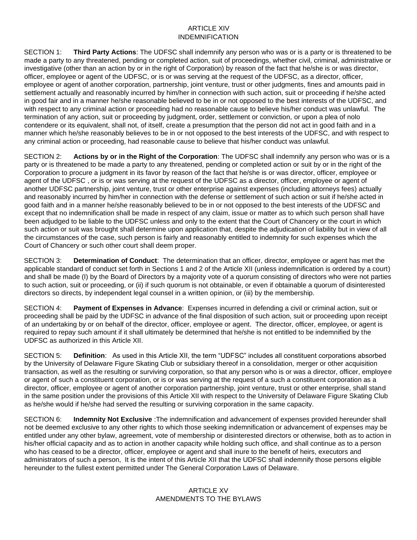## ARTICLE XIV INDEMNIFICATION

SECTION 1: **Third Party Actions**: The UDFSC shall indemnify any person who was or is a party or is threatened to be made a party to any threatened, pending or completed action, suit of proceedings, whether civil, criminal, administrative or investigative (other than an action by or in the right of Corporation) by reason of the fact that he/she is or was director, officer, employee or agent of the UDFSC, or is or was serving at the request of the UDFSC, as a director, officer, employee or agent of another corporation, partnership, joint venture, trust or other judgments, fines and amounts paid in settlement actually and reasonably incurred by him/her in connection with such action, suit or proceeding if he/she acted in good fair and in a manner he/she reasonable believed to be in or not opposed to the best interests of the UDFSC, and with respect to any criminal action or proceeding had no reasonable cause to believe his/her conduct was unlawful. The termination of any action, suit or proceeding by judgment, order, settlement or conviction, or upon a plea of nolo contendere or its equivalent, shall not, of itself, create a presumption that the person did not act in good faith and in a manner which he/she reasonably believes to be in or not opposed to the best interests of the UDFSC, and with respect to any criminal action or proceeding, had reasonable cause to believe that his/her conduct was unlawful.

SECTION 2: **Actions by or in the Right of the Corporation**: The UDFSC shall indemnify any person who was or is a party or is threatened to be made a party to any threatened, pending or completed action or suit by or in the right of the Corporation to procure a judgment in its favor by reason of the fact that he/she is or was director, officer, employee or agent of the UDFSC , or is or was serving at the request of the UDFSC as a director, officer, employee or agent of another UDFSC partnership, joint venture, trust or other enterprise against expenses (including attorneys fees) actually and reasonably incurred by him/her in connection with the defense or settlement of such action or suit if he/she acted in good faith and in a manner he/she reasonably believed to be in or not opposed to the best interests of the UDFSC and except that no indemnification shall be made in respect of any claim, issue or matter as to which such person shall have been adjudged to be liable to the UDFSC unless and only to the extent that the Court of Chancery or the court in which such action or suit was brought shall determine upon application that, despite the adjudication of liability but in view of all the circumstances of the case, such person is fairly and reasonably entitled to indemnity for such expenses which the Court of Chancery or such other court shall deem proper.

SECTION 3: **Determination of Conduct**: The determination that an officer, director, employee or agent has met the applicable standard of conduct set forth in Sections 1 and 2 of the Article XII (unless indemnification is ordered by a court) and shall be made (I) by the Board of Directors by a majority vote of a quorum consisting of directors who were not parties to such action, suit or proceeding, or (ii) if such quorum is not obtainable, or even if obtainable a quorum of disinterested directors so directs, by independent legal counsel in a written opinion, or (iii) by the membership.

SECTION 4: **Payment of Expenses in Advance**: Expenses incurred in defending a civil or criminal action, suit or proceeding shall be paid by the UDFSC in advance of the final disposition of such action, suit or proceeding upon receipt of an undertaking by or on behalf of the director, officer, employee or agent. The director, officer, employee, or agent is required to repay such amount if it shall ultimately be determined that he/she is not entitled to be indemnified by the UDFSC as authorized in this Article XII.

SECTION 5: **Definition**: As used in this Article XII, the term "UDFSC" includes all constituent corporations absorbed by the University of Delaware Figure Skating Club or subsidiary thereof in a consolidation, merger or other acquisition transaction, as well as the resulting or surviving corporation, so that any person who is or was a director, officer, employee or agent of such a constituent corporation, or is or was serving at the request of a such a constituent corporation as a director, officer, employee or agent of another corporation partnership, joint venture, trust or other enterprise, shall stand in the same position under the provisions of this Article XII with respect to the University of Delaware Figure Skating Club as he/she would if he/she had served the resulting or surviving corporation in the same capacity.

SECTION 6: **Indemnity Not Exclusive** :The indemnification and advancement of expenses provided hereunder shall not be deemed exclusive to any other rights to which those seeking indemnification or advancement of expenses may be entitled under any other bylaw, agreement, vote of membership or disinterested directors or otherwise, both as to action in his/her official capacity and as to action in another capacity while holding such office, and shall continue as to a person who has ceased to be a director, officer, employee or agent and shall inure to the benefit of heirs, executors and administrators of such a person, It is the intent of this Article XII that the UDFSC shall indemnify those persons eligible hereunder to the fullest extent permitted under The General Corporation Laws of Delaware.

## ARTICLE XV AMENDMENTS TO THE BYLAWS